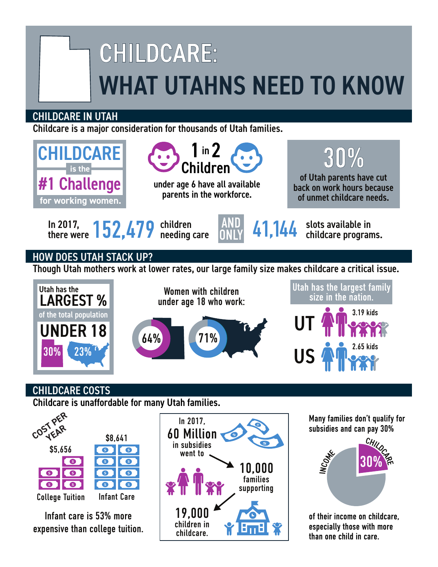## CHILDCARE: WHAT UTAHNS NEED TO KNOW

## CHILDCARE IN UTAH

Childcare is a major consideration for thousands of Utah families.



Infant care is 53% more expensive than college tuition.

College Tuition Infant Care



of their income on childcare, especially those with more than one child in care.